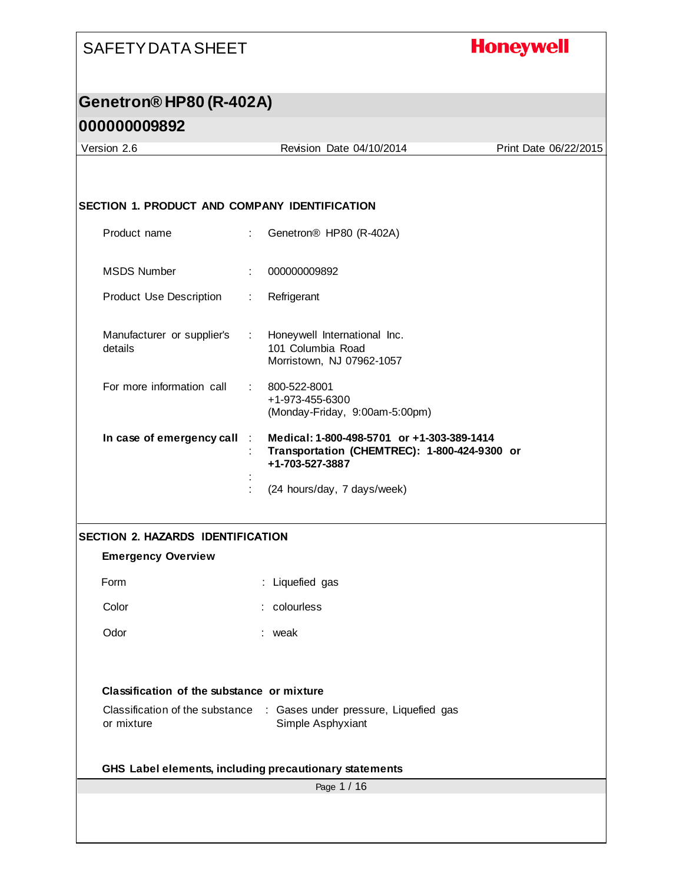## **Honeywell**

| Version 2.6                                                                         |                                            | Revision Date 04/10/2014                                                                   | Print Date 06/22/2015 |
|-------------------------------------------------------------------------------------|--------------------------------------------|--------------------------------------------------------------------------------------------|-----------------------|
|                                                                                     |                                            |                                                                                            |                       |
|                                                                                     |                                            |                                                                                            |                       |
| <b>SECTION 1. PRODUCT AND COMPANY IDENTIFICATION</b>                                |                                            |                                                                                            |                       |
| Product name                                                                        |                                            | Genetron <sup>®</sup> HP80 (R-402A)                                                        |                       |
| <b>MSDS Number</b>                                                                  | 000000009892<br>÷                          |                                                                                            |                       |
| Product Use Description                                                             | Refrigerant<br>$\mathbb{Z}^{\mathbb{Z}}$ . |                                                                                            |                       |
| Manufacturer or supplier's : Honeywell International Inc.<br>details                | 101 Columbia Road                          | Morristown, NJ 07962-1057                                                                  |                       |
| For more information call                                                           | 800-522-8001<br>t.<br>+1-973-455-6300      | (Monday-Friday, 9:00am-5:00pm)                                                             |                       |
| In case of emergency call                                                           | $\mathbb{R}^n$<br>+1-703-527-3887          | Medical: 1-800-498-5701 or +1-303-389-1414<br>Transportation (CHEMTREC): 1-800-424-9300 or |                       |
|                                                                                     |                                            | (24 hours/day, 7 days/week)                                                                |                       |
| <b>SECTION 2. HAZARDS IDENTIFICATION</b>                                            |                                            |                                                                                            |                       |
| <b>Emergency Overview</b>                                                           |                                            |                                                                                            |                       |
| Form                                                                                | : Liquefied gas                            |                                                                                            |                       |
| Color                                                                               |                                            |                                                                                            |                       |
|                                                                                     | : colourless                               |                                                                                            |                       |
| Odor                                                                                | : weak                                     |                                                                                            |                       |
|                                                                                     |                                            |                                                                                            |                       |
| Classification of the substance or mixture                                          |                                            |                                                                                            |                       |
| Classification of the substance : Gases under pressure, Liquefied gas<br>or mixture | Simple Asphyxiant                          |                                                                                            |                       |
| GHS Label elements, including precautionary statements                              |                                            |                                                                                            |                       |
|                                                                                     |                                            | Page 1 / 16                                                                                |                       |
|                                                                                     |                                            |                                                                                            |                       |
|                                                                                     |                                            |                                                                                            |                       |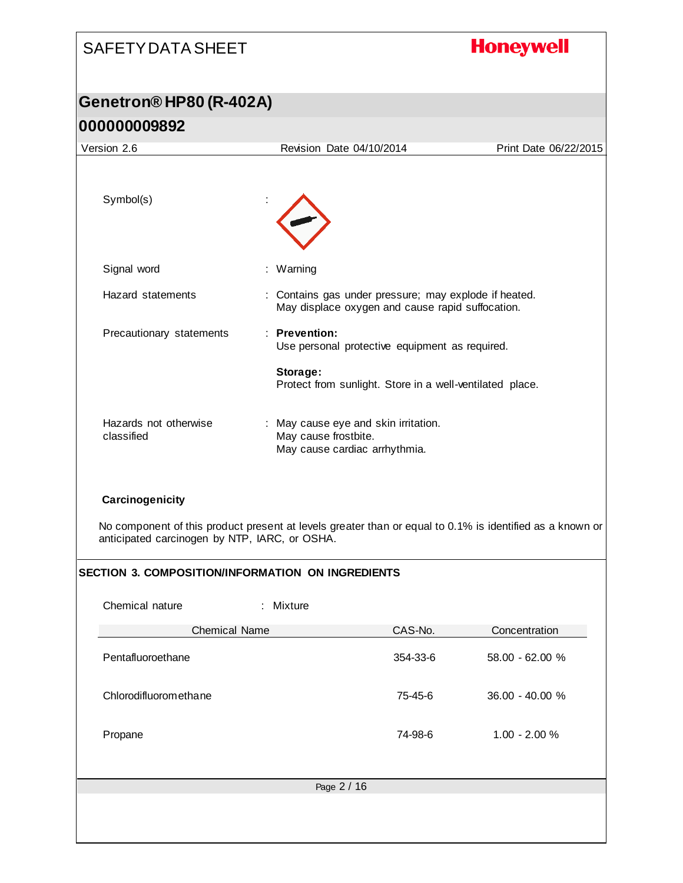# SAFETY DATA SHEET **Honeywell Genetron® HP80 (R-402A) 000000009892** Version 2.6 Revision Date 04/10/2014 Print Date 06/22/2015 Symbol(s) Signal word : Warning Hazard statements : Contains gas under pressure; may explode if heated. May displace oxygen and cause rapid suffocation. Precautionary statements : **Prevention:**  Use personal protective equipment as required. **Storage:**  Protect from sunlight. Store in a well-ventilated place. Hazards not otherwise : May cause eye and skin irritation. classified May cause frostbite. May cause cardiac arrhythmia.

**Carcinogenicity**

No component of this product present at levels greater than or equal to 0.1% is identified as a known or anticipated carcinogen by NTP, IARC, or OSHA.

#### **SECTION 3. COMPOSITION/INFORMATION ON INGREDIENTS**

| Chemical nature       | : Mixture   |          |                 |
|-----------------------|-------------|----------|-----------------|
| <b>Chemical Name</b>  |             | CAS-No.  | Concentration   |
| Pentafluoroethane     |             | 354-33-6 | 58.00 - 62.00 % |
| Chlorodifluoromethane |             | 75-45-6  | 36.00 - 40.00 % |
| Propane               |             | 74-98-6  | $1.00 - 2.00 %$ |
|                       |             |          |                 |
|                       | Page 2 / 16 |          |                 |
|                       |             |          |                 |
|                       |             |          |                 |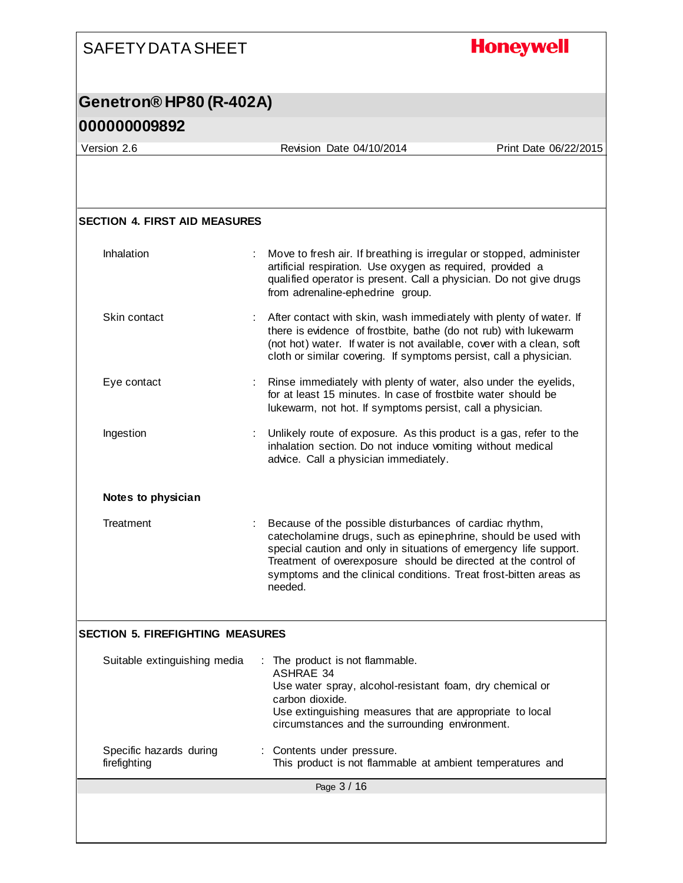### **Honeywell** SAFETY DATA SHEET **Genetron® HP80 (R-402A) 000000009892** Version 2.6 Revision Date 04/10/2014 Print Date 06/22/2015 **SECTION 4. FIRST AID MEASURES** Inhalation : Move to fresh air. If breathing is irregular or stopped, administer artificial respiration. Use oxygen as required, provided a qualified operator is present. Call a physician. Do not give drugs from adrenaline-ephedrine group. Skin contact : After contact with skin, wash immediately with plenty of water. If there is evidence of frostbite, bathe (do not rub) with lukewarm (not hot) water. If water is not available, cover with a clean, soft cloth or similar covering. If symptoms persist, call a physician. Eye contact **Exercise :** Rinse immediately with plenty of water, also under the eyelids, for at least 15 minutes. In case of frostbite water should be lukewarm, not hot. If symptoms persist, call a physician. Ingestion : Unlikely route of exposure. As this product is a gas, refer to the inhalation section. Do not induce vomiting without medical advice. Call a physician immediately. **Notes to physician** Treatment : Because of the possible disturbances of cardiac rhythm, catecholamine drugs, such as epinephrine, should be used with special caution and only in situations of emergency life support. Treatment of overexposure should be directed at the control of symptoms and the clinical conditions. Treat frost-bitten areas as needed. **SECTION 5. FIREFIGHTING MEASURES** Suitable extinguishing media : The product is not flammable. ASHRAE 34 Use water spray, alcohol-resistant foam, dry chemical or carbon dioxide. Use extinguishing measures that are appropriate to local circumstances and the surrounding environment. Specific hazards during : Contents under pressure. This product is not flammable at ambient temperatures and firefighting Page 3 / 16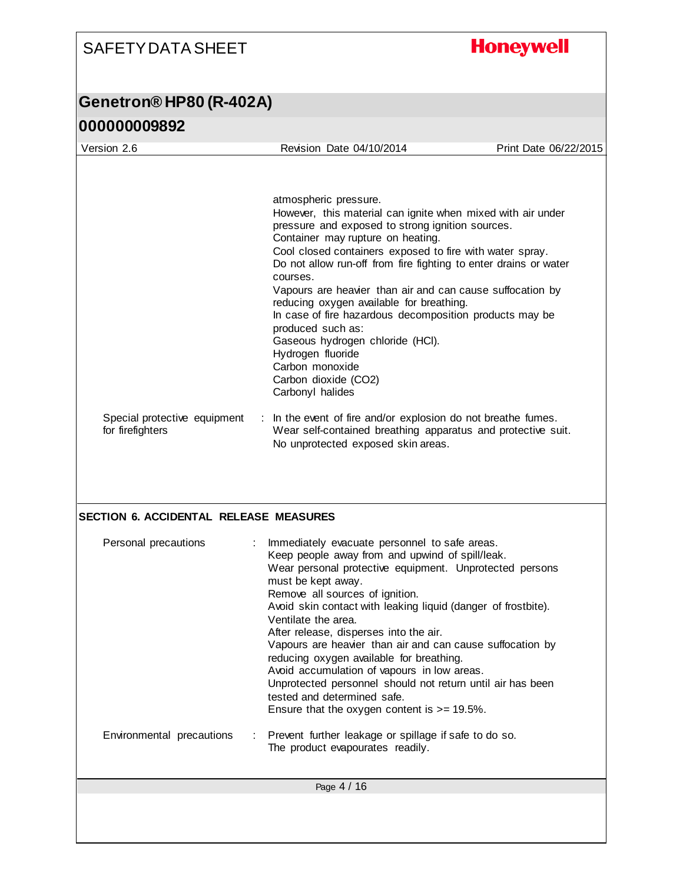## **Honeywell**

| Version 2.6                                   | Revision Date 04/10/2014                                                                | Print Date 06/22/2015 |
|-----------------------------------------------|-----------------------------------------------------------------------------------------|-----------------------|
|                                               |                                                                                         |                       |
|                                               | atmospheric pressure.                                                                   |                       |
|                                               | However, this material can ignite when mixed with air under                             |                       |
|                                               | pressure and exposed to strong ignition sources.                                        |                       |
|                                               | Container may rupture on heating.                                                       |                       |
|                                               | Cool closed containers exposed to fire with water spray.                                |                       |
|                                               | Do not allow run-off from fire fighting to enter drains or water                        |                       |
|                                               | courses.<br>Vapours are heavier than air and can cause suffocation by                   |                       |
|                                               | reducing oxygen available for breathing.                                                |                       |
|                                               | In case of fire hazardous decomposition products may be                                 |                       |
|                                               | produced such as:                                                                       |                       |
|                                               | Gaseous hydrogen chloride (HCI).                                                        |                       |
|                                               | Hydrogen fluoride                                                                       |                       |
|                                               | Carbon monoxide<br>Carbon dioxide (CO2)                                                 |                       |
|                                               | Carbonyl halides                                                                        |                       |
|                                               |                                                                                         |                       |
| Special protective equipment                  | In the event of fire and/or explosion do not breathe fumes.                             |                       |
| for firefighters                              | Wear self-contained breathing apparatus and protective suit.                            |                       |
|                                               | No unprotected exposed skin areas.                                                      |                       |
| <b>SECTION 6. ACCIDENTAL RELEASE MEASURES</b> |                                                                                         |                       |
| Personal precautions                          | Immediately evacuate personnel to safe areas.                                           |                       |
|                                               | Keep people away from and upwind of spill/leak.                                         |                       |
|                                               | Wear personal protective equipment. Unprotected persons                                 |                       |
|                                               | must be kept away.<br>Remove all sources of ignition.                                   |                       |
|                                               | Avoid skin contact with leaking liquid (danger of frostbite).                           |                       |
|                                               | Ventilate the area.                                                                     |                       |
|                                               | After release, disperses into the air.                                                  |                       |
|                                               | Vapours are heavier than air and can cause suffocation by                               |                       |
|                                               | reducing oxygen available for breathing.<br>Avoid accumulation of vapours in low areas. |                       |
|                                               | Unprotected personnel should not return until air has been                              |                       |
|                                               | tested and determined safe.                                                             |                       |
|                                               | Ensure that the oxygen content is $>= 19.5\%$ .                                         |                       |
| Environmental precautions                     | Prevent further leakage or spillage if safe to do so.                                   |                       |
|                                               | The product evapourates readily.                                                        |                       |
|                                               | Page 4 / 16                                                                             |                       |
|                                               |                                                                                         |                       |
|                                               |                                                                                         |                       |
|                                               |                                                                                         |                       |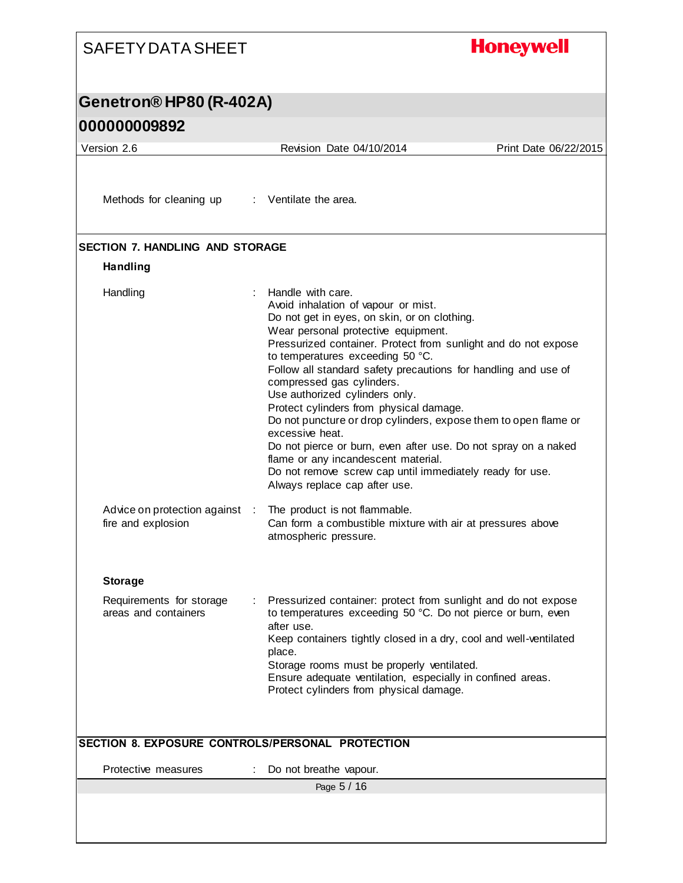| <b>SAFETY DATA SHEET</b>                                  |                                                                                                                                                                                                                                                                                                                                                                                                                                                                                                                                                                                                                                                                                                                               | <b>Honeywell</b>      |
|-----------------------------------------------------------|-------------------------------------------------------------------------------------------------------------------------------------------------------------------------------------------------------------------------------------------------------------------------------------------------------------------------------------------------------------------------------------------------------------------------------------------------------------------------------------------------------------------------------------------------------------------------------------------------------------------------------------------------------------------------------------------------------------------------------|-----------------------|
| Genetron® HP80 (R-402A)                                   |                                                                                                                                                                                                                                                                                                                                                                                                                                                                                                                                                                                                                                                                                                                               |                       |
| 000000009892                                              |                                                                                                                                                                                                                                                                                                                                                                                                                                                                                                                                                                                                                                                                                                                               |                       |
| Version 2.6                                               | Revision Date 04/10/2014                                                                                                                                                                                                                                                                                                                                                                                                                                                                                                                                                                                                                                                                                                      | Print Date 06/22/2015 |
|                                                           |                                                                                                                                                                                                                                                                                                                                                                                                                                                                                                                                                                                                                                                                                                                               |                       |
| Methods for cleaning up : Ventilate the area.             |                                                                                                                                                                                                                                                                                                                                                                                                                                                                                                                                                                                                                                                                                                                               |                       |
| <b>SECTION 7. HANDLING AND STORAGE</b><br><b>Handling</b> |                                                                                                                                                                                                                                                                                                                                                                                                                                                                                                                                                                                                                                                                                                                               |                       |
| Handling                                                  | Handle with care.<br>Avoid inhalation of vapour or mist.<br>Do not get in eyes, on skin, or on clothing.<br>Wear personal protective equipment.<br>Pressurized container. Protect from sunlight and do not expose<br>to temperatures exceeding 50 °C.<br>Follow all standard safety precautions for handling and use of<br>compressed gas cylinders.<br>Use authorized cylinders only.<br>Protect cylinders from physical damage.<br>Do not puncture or drop cylinders, expose them to open flame or<br>excessive heat.<br>Do not pierce or burn, even after use. Do not spray on a naked<br>flame or any incandescent material.<br>Do not remove screw cap until immediately ready for use.<br>Always replace cap after use. |                       |
| Advice on protection against :<br>fire and explosion      | The product is not flammable.<br>Can form a combustible mixture with air at pressures above<br>atmospheric pressure.                                                                                                                                                                                                                                                                                                                                                                                                                                                                                                                                                                                                          |                       |
| <b>Storage</b>                                            |                                                                                                                                                                                                                                                                                                                                                                                                                                                                                                                                                                                                                                                                                                                               |                       |
| Requirements for storage<br>areas and containers          | Pressurized container: protect from sunlight and do not expose<br>to temperatures exceeding 50 °C. Do not pierce or burn, even<br>after use.<br>Keep containers tightly closed in a dry, cool and well-ventilated<br>place.<br>Storage rooms must be properly ventilated.<br>Ensure adequate ventilation, especially in confined areas.<br>Protect cylinders from physical damage.                                                                                                                                                                                                                                                                                                                                            |                       |
| SECTION 8. EXPOSURE CONTROLS/PERSONAL PROTECTION          |                                                                                                                                                                                                                                                                                                                                                                                                                                                                                                                                                                                                                                                                                                                               |                       |
| Protective measures                                       | Do not breathe vapour.                                                                                                                                                                                                                                                                                                                                                                                                                                                                                                                                                                                                                                                                                                        |                       |
|                                                           | Page 5 / 16                                                                                                                                                                                                                                                                                                                                                                                                                                                                                                                                                                                                                                                                                                                   |                       |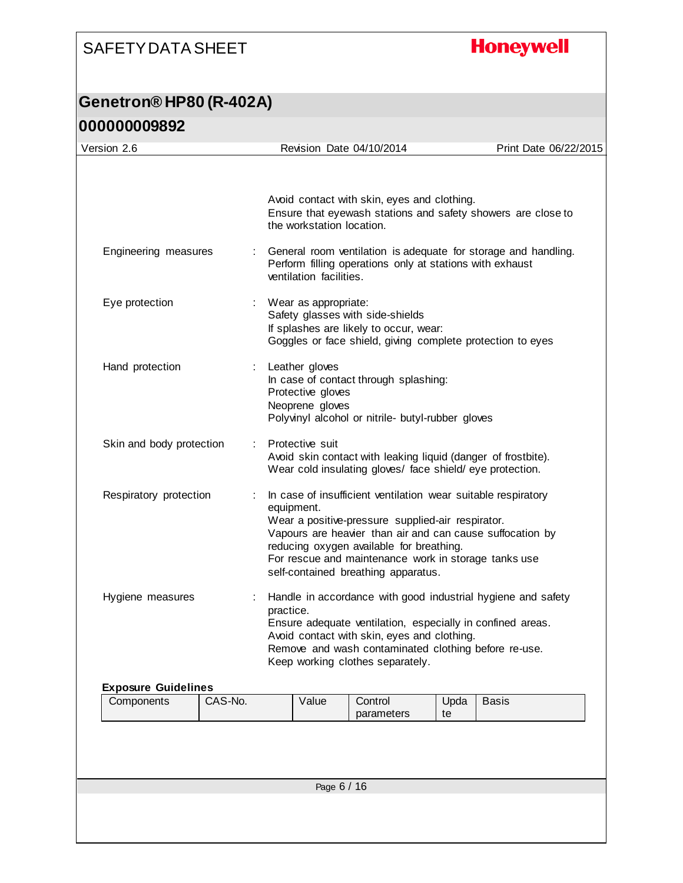## **Honeywell**

| Version 2.6                |         |           |                                                        | Revision Date 04/10/2014                                                                                                                                                                                                                                                                                                   |            | Print Date 06/22/2015                                          |
|----------------------------|---------|-----------|--------------------------------------------------------|----------------------------------------------------------------------------------------------------------------------------------------------------------------------------------------------------------------------------------------------------------------------------------------------------------------------------|------------|----------------------------------------------------------------|
|                            |         |           | the workstation location.                              | Avoid contact with skin, eyes and clothing.                                                                                                                                                                                                                                                                                |            | Ensure that eyewash stations and safety showers are close to   |
| Engineering measures       |         |           | ventilation facilities.                                | Perform filling operations only at stations with exhaust                                                                                                                                                                                                                                                                   |            | General room ventilation is adequate for storage and handling. |
| Eye protection             |         |           | Wear as appropriate:                                   | Safety glasses with side-shields<br>If splashes are likely to occur, wear:<br>Goggles or face shield, giving complete protection to eyes                                                                                                                                                                                   |            |                                                                |
| Hand protection            |         |           | Leather gloves<br>Protective gloves<br>Neoprene gloves | In case of contact through splashing:<br>Polyvinyl alcohol or nitrile- butyl-rubber gloves                                                                                                                                                                                                                                 |            |                                                                |
| Skin and body protection   |         |           | Protective suit                                        | Avoid skin contact with leaking liquid (danger of frostbite).<br>Wear cold insulating gloves/ face shield/ eye protection.                                                                                                                                                                                                 |            |                                                                |
| Respiratory protection     |         |           | equipment.                                             | In case of insufficient ventilation wear suitable respiratory<br>Wear a positive-pressure supplied-air respirator.<br>Vapours are heavier than air and can cause suffocation by<br>reducing oxygen available for breathing.<br>For rescue and maintenance work in storage tanks use<br>self-contained breathing apparatus. |            |                                                                |
| Hygiene measures           | ÷       | practice. |                                                        | Ensure adequate ventilation, especially in confined areas.<br>Avoid contact with skin, eyes and clothing.<br>Remove and wash contaminated clothing before re-use.<br>Keep working clothes separately.                                                                                                                      |            | Handle in accordance with good industrial hygiene and safety   |
| <b>Exposure Guidelines</b> | CAS-No. |           | Value                                                  | Control                                                                                                                                                                                                                                                                                                                    |            | <b>Basis</b>                                                   |
| Components                 |         |           |                                                        | parameters                                                                                                                                                                                                                                                                                                                 | Upda<br>te |                                                                |
|                            |         |           |                                                        |                                                                                                                                                                                                                                                                                                                            |            |                                                                |
|                            |         |           | Page 6 / 16                                            |                                                                                                                                                                                                                                                                                                                            |            |                                                                |
|                            |         |           |                                                        |                                                                                                                                                                                                                                                                                                                            |            |                                                                |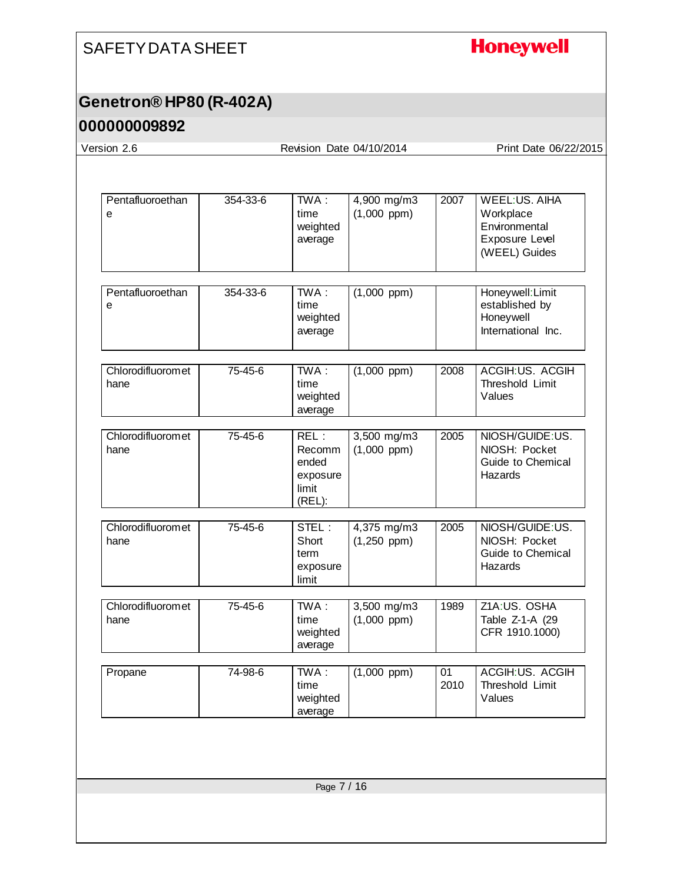# **Honeywell**

## **Genetron® HP80 (R-402A)**

#### **000000009892**

Version 2.6 Revision Date 04/10/2014 Print Date 06/22/2015

| Pentafluoroethan<br>e     | 354-33-6 | TWA:<br>time<br>weighted<br>average                    | 4,900 mg/m3<br>$(1,000$ ppm $)$ | 2007       | <b>WEEL:US. AIHA</b><br>Workplace<br>Environmental<br>Exposure Level<br>(WEEL) Guides |
|---------------------------|----------|--------------------------------------------------------|---------------------------------|------------|---------------------------------------------------------------------------------------|
| Pentafluoroethan<br>е     | 354-33-6 | $TWA$ :<br>time<br>weighted<br>average                 | $(1,000$ ppm)                   |            | Honeywell: Limit<br>established by<br>Honeywell<br>International Inc.                 |
| Chlorodifluoromet<br>hane | 75-45-6  | $TWA$ :<br>time<br>weighted<br>average                 | $(1,000$ ppm)                   | 2008       | ACGIH:US. ACGIH<br>Threshold Limit<br>Values                                          |
| Chlorodifluoromet<br>hane | 75-45-6  | REL:<br>Recomm<br>ended<br>exposure<br>limit<br>(REL): | 3,500 mg/m3<br>$(1,000$ ppm $)$ | 2005       | NIOSH/GUIDE:US.<br>NIOSH: Pocket<br>Guide to Chemical<br>Hazards                      |
| Chlorodifluoromet<br>hane | 75-45-6  | STEL:<br>Short<br>term<br>exposure<br>limit            | 4,375 mg/m3<br>$(1,250$ ppm)    | 2005       | NIOSH/GUIDE:US.<br>NIOSH: Pocket<br>Guide to Chemical<br>Hazards                      |
| Chlorodifluoromet<br>hane | 75-45-6  | TWA:<br>time<br>weighted<br>average                    | 3,500 mg/m3<br>$(1,000$ ppm)    | 1989       | Z1A:US. OSHA<br>Table Z-1-A (29<br>CFR 1910.1000)                                     |
| Propane                   | 74-98-6  | $TWA$ :<br>time<br>weighted<br>average                 | $(1,000$ ppm $)$                | 01<br>2010 | ACGIH:US. ACGIH<br>Threshold Limit<br>Values                                          |
|                           |          |                                                        |                                 |            |                                                                                       |
|                           |          | Page 7 / 16                                            |                                 |            |                                                                                       |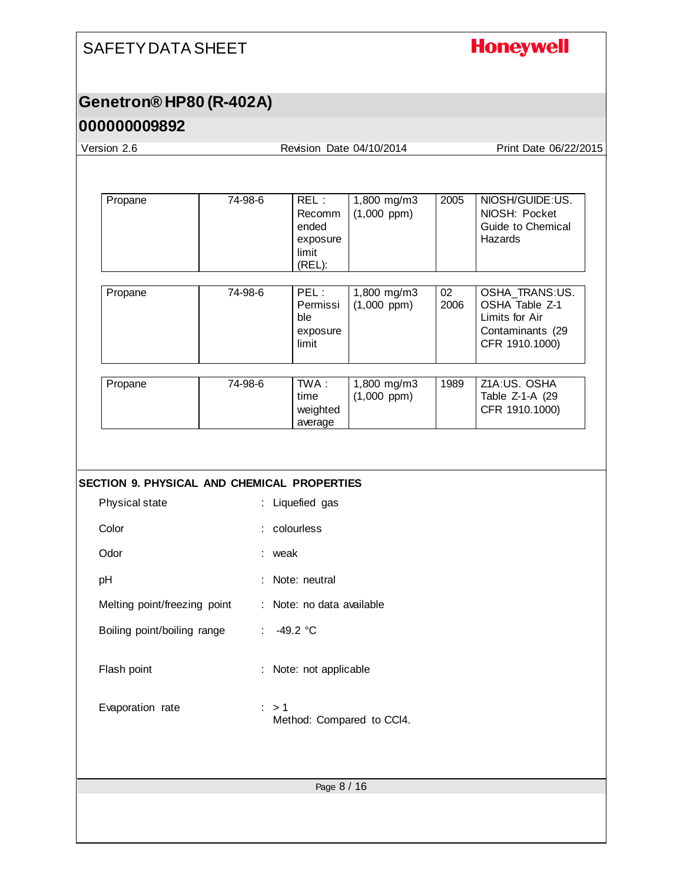## **Honeywell**

## **Genetron® HP80 (R-402A)**

## **000000009892**

| Version 2.6                                        |                  |                                                        | Revision Date 04/10/2014          |            | Print Date 06/22/2015                                                                    |
|----------------------------------------------------|------------------|--------------------------------------------------------|-----------------------------------|------------|------------------------------------------------------------------------------------------|
|                                                    |                  |                                                        |                                   |            |                                                                                          |
| Propane                                            | 74-98-6          | REL:<br>Recomm<br>ended<br>exposure<br>limit<br>(REL): | 1,800 mg/m3<br>$(1,000$ ppm)      | 2005       | NIOSH/GUIDE:US.<br>NIOSH: Pocket<br>Guide to Chemical<br>Hazards                         |
| Propane                                            | 74-98-6          | PEL:<br>Permissi<br>ble<br>exposure<br>limit           | $1,800$ mg/m3<br>$(1,000$ ppm)    | 02<br>2006 | OSHA_TRANS:US.<br>OSHA Table Z-1<br>Limits for Air<br>Contaminants (29<br>CFR 1910.1000) |
| Propane                                            | 74-98-6          | TWA:<br>time<br>weighted<br>average                    | $1,800$ mg/m3<br>$(1,000$ ppm $)$ | 1989       | Z1A:US. OSHA<br>Table Z-1-A (29<br>CFR 1910.1000)                                        |
| <b>SECTION 9. PHYSICAL AND CHEMICAL PROPERTIES</b> |                  |                                                        |                                   |            |                                                                                          |
| Physical state                                     |                  | : Liquefied gas                                        |                                   |            |                                                                                          |
| Color                                              |                  | colourless                                             |                                   |            |                                                                                          |
| Odor                                               | : weak           |                                                        |                                   |            |                                                                                          |
| pH                                                 |                  | : Note: neutral                                        |                                   |            |                                                                                          |
| Melting point/freezing point                       |                  | : Note: no data available                              |                                   |            |                                                                                          |
| Boiling point/boiling range                        | : 49.2 °C        |                                                        |                                   |            |                                                                                          |
| Flash point                                        |                  | : Note: not applicable                                 |                                   |            |                                                                                          |
| Evaporation rate                                   | $\therefore$ > 1 |                                                        | Method: Compared to CCI4.         |            |                                                                                          |
|                                                    |                  | Page 8 / 16                                            |                                   |            |                                                                                          |
|                                                    |                  |                                                        |                                   |            |                                                                                          |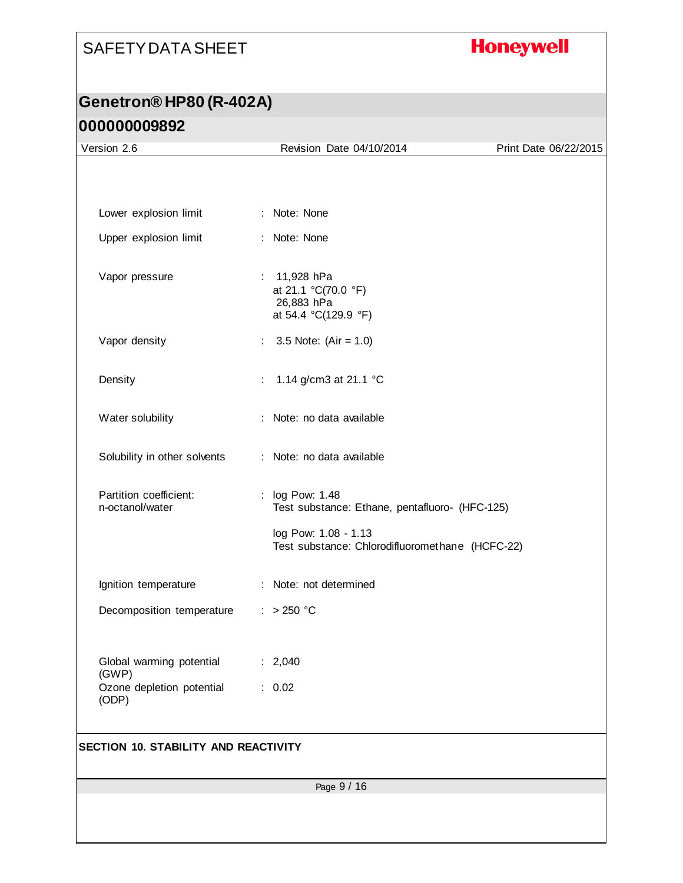## **Honeywell**

| Version 2.6                                 | Revision Date 04/10/2014                                                | Print Date 06/22/2015 |
|---------------------------------------------|-------------------------------------------------------------------------|-----------------------|
|                                             |                                                                         |                       |
|                                             |                                                                         |                       |
| Lower explosion limit                       | : Note: None                                                            |                       |
| Upper explosion limit                       | : Note: None                                                            |                       |
| Vapor pressure                              | 11,928 hPa<br>at 21.1 °C(70.0 °F)<br>26,883 hPa<br>at 54.4 °C(129.9 °F) |                       |
| Vapor density                               | : $3.5$ Note: (Air = 1.0)                                               |                       |
| Density                                     | 1.14 g/cm3 at 21.1 $^{\circ}$ C<br>÷.                                   |                       |
| Water solubility                            | : Note: no data available                                               |                       |
| Solubility in other solvents                | : Note: no data available                                               |                       |
| Partition coefficient:<br>n-octanol/water   | : log Pow: 1.48<br>Test substance: Ethane, pentafluoro- (HFC-125)       |                       |
|                                             | log Pow: 1.08 - 1.13<br>Test substance: Chlorodifluoromethane (HCFC-22) |                       |
| Ignition temperature                        | : Note: not determined                                                  |                       |
| Decomposition temperature                   | : $> 250 °C$                                                            |                       |
| Global warming potential                    | : 2,040                                                                 |                       |
| (GWP)<br>Ozone depletion potential<br>(ODP) | : 0.02                                                                  |                       |
| <b>SECTION 10. STABILITY AND REACTIVITY</b> |                                                                         |                       |
|                                             |                                                                         |                       |
|                                             | Page 9 / 16                                                             |                       |
|                                             |                                                                         |                       |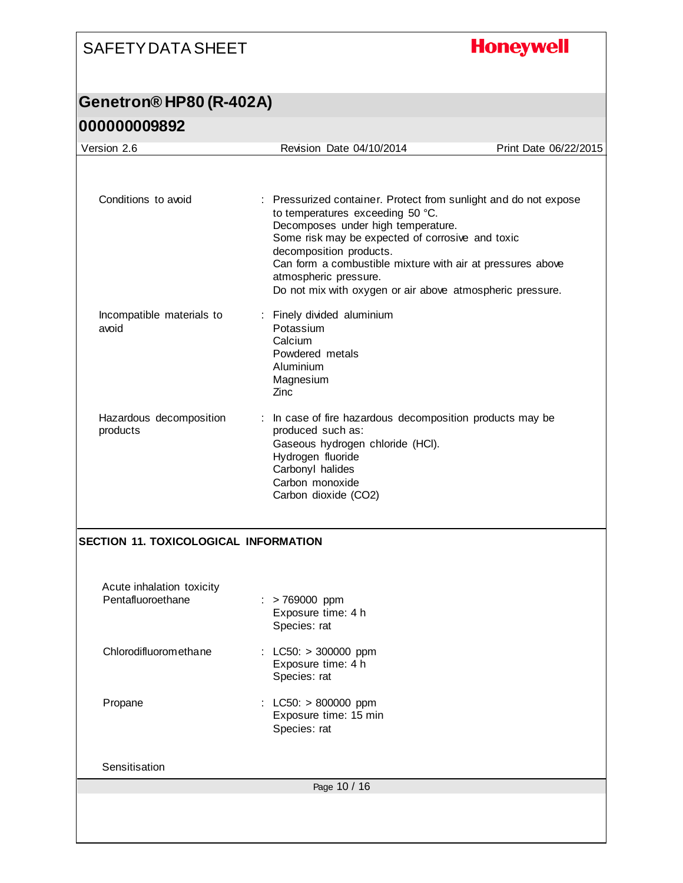**Honeywell** 

| Version 2.6                                    | Revision Date 04/10/2014                                                                                                                                                                                                                                                                                                                                                      | Print Date 06/22/2015 |
|------------------------------------------------|-------------------------------------------------------------------------------------------------------------------------------------------------------------------------------------------------------------------------------------------------------------------------------------------------------------------------------------------------------------------------------|-----------------------|
|                                                |                                                                                                                                                                                                                                                                                                                                                                               |                       |
| Conditions to avoid                            | : Pressurized container. Protect from sunlight and do not expose<br>to temperatures exceeding 50 °C.<br>Decomposes under high temperature.<br>Some risk may be expected of corrosive and toxic<br>decomposition products.<br>Can form a combustible mixture with air at pressures above<br>atmospheric pressure.<br>Do not mix with oxygen or air above atmospheric pressure. |                       |
| Incompatible materials to<br>avoid             | : Finely divided aluminium<br>Potassium<br>Calcium<br>Powdered metals<br>Aluminium<br>Magnesium<br>Zinc                                                                                                                                                                                                                                                                       |                       |
| Hazardous decomposition<br>products            | : In case of fire hazardous decomposition products may be<br>produced such as:<br>Gaseous hydrogen chloride (HCI).<br>Hydrogen fluoride<br>Carbonyl halides<br>Carbon monoxide<br>Carbon dioxide (CO2)                                                                                                                                                                        |                       |
| <b>SECTION 11. TOXICOLOGICAL INFORMATION</b>   |                                                                                                                                                                                                                                                                                                                                                                               |                       |
| Acute inhalation toxicity<br>Pentafluoroethane | $:$ > 769000 ppm<br>Exposure time: 4 h<br>Species: rat                                                                                                                                                                                                                                                                                                                        |                       |
| Chlorodifluoromethane                          | $LC50: > 300000$ ppm<br>Exposure time: 4 h<br>Species: rat                                                                                                                                                                                                                                                                                                                    |                       |
| Propane                                        | : LC50: > 800000 ppm<br>Exposure time: 15 min<br>Species: rat                                                                                                                                                                                                                                                                                                                 |                       |
| Sensitisation                                  |                                                                                                                                                                                                                                                                                                                                                                               |                       |
|                                                | Page 10 / 16                                                                                                                                                                                                                                                                                                                                                                  |                       |
|                                                |                                                                                                                                                                                                                                                                                                                                                                               |                       |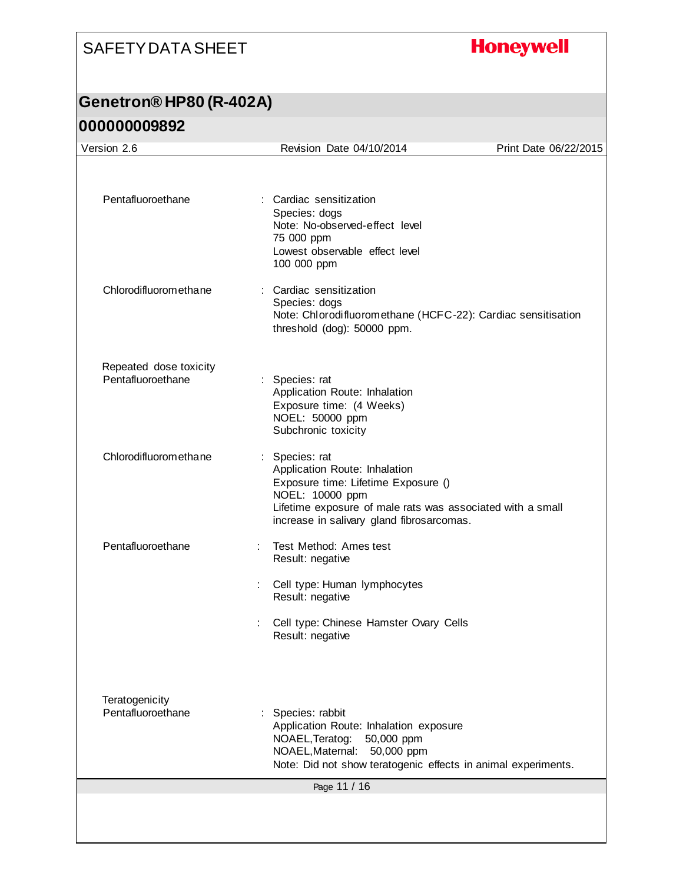## **Honeywell**

| Version 2.6                                 | Revision Date 04/10/2014                                                                                                                                                                                             | Print Date 06/22/2015 |
|---------------------------------------------|----------------------------------------------------------------------------------------------------------------------------------------------------------------------------------------------------------------------|-----------------------|
|                                             |                                                                                                                                                                                                                      |                       |
| Pentafluoroethane                           | : Cardiac sensitization<br>Species: dogs<br>Note: No-observed-effect level<br>75 000 ppm<br>Lowest observable effect level<br>100 000 ppm                                                                            |                       |
| Chlorodifluoromethane                       | : Cardiac sensitization<br>Species: dogs<br>Note: Chlorodifluoromethane (HCFC-22): Cardiac sensitisation<br>threshold (dog): 50000 ppm.                                                                              |                       |
| Repeated dose toxicity<br>Pentafluoroethane | : Species: rat<br>Application Route: Inhalation<br>Exposure time: (4 Weeks)<br>NOEL: 50000 ppm<br>Subchronic toxicity                                                                                                |                       |
| Chlorodifluoromethane                       | : Species: rat<br>Application Route: Inhalation<br>Exposure time: Lifetime Exposure ()<br>NOEL: 10000 ppm<br>Lifetime exposure of male rats was associated with a small<br>increase in salivary gland fibrosarcomas. |                       |
| Pentafluoroethane                           | Test Method: Ames test<br>Result: negative                                                                                                                                                                           |                       |
|                                             | Cell type: Human lymphocytes<br>Result: negative                                                                                                                                                                     |                       |
|                                             | Cell type: Chinese Hamster Ovary Cells<br>Result: negative                                                                                                                                                           |                       |
| Teratogenicity                              |                                                                                                                                                                                                                      |                       |
| Pentafluoroethane                           | : Species: rabbit<br>Application Route: Inhalation exposure<br>NOAEL, Teratog:<br>50,000 ppm<br>NOAEL, Maternal:<br>50,000 ppm<br>Note: Did not show teratogenic effects in animal experiments.                      |                       |
|                                             | Page 11 / 16                                                                                                                                                                                                         |                       |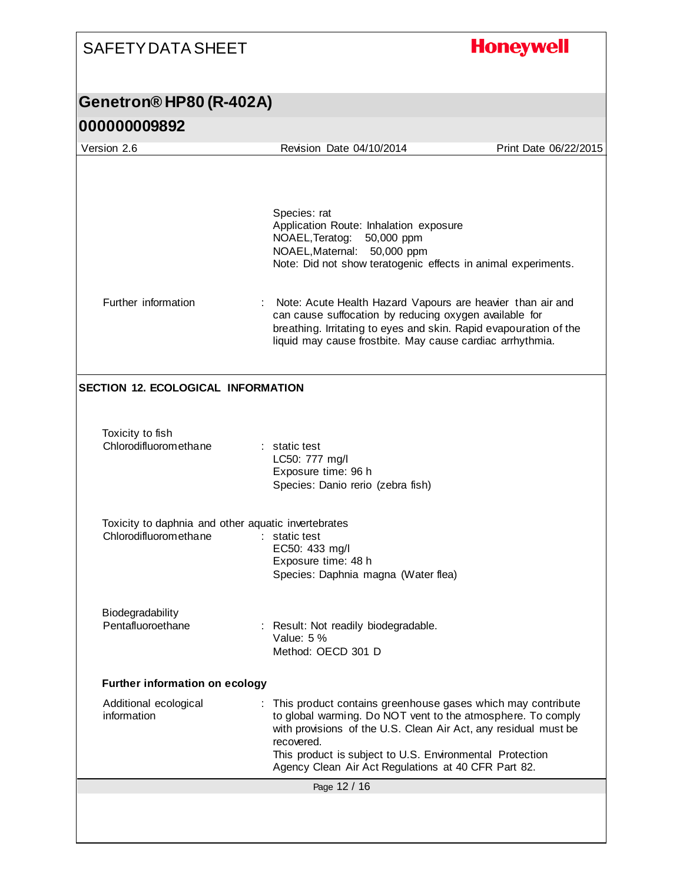## **Honeywell**

| <b>JUUUUUUJUJL</b>                                                           |                                                                                                                                                                                                                                                                                                                                |                       |
|------------------------------------------------------------------------------|--------------------------------------------------------------------------------------------------------------------------------------------------------------------------------------------------------------------------------------------------------------------------------------------------------------------------------|-----------------------|
| Version 2.6                                                                  | Revision Date 04/10/2014                                                                                                                                                                                                                                                                                                       | Print Date 06/22/2015 |
|                                                                              |                                                                                                                                                                                                                                                                                                                                |                       |
|                                                                              | Species: rat<br>Application Route: Inhalation exposure<br>NOAEL, Teratog:<br>50,000 ppm<br>NOAEL, Maternal: 50,000 ppm<br>Note: Did not show teratogenic effects in animal experiments.                                                                                                                                        |                       |
| Further information                                                          | Note: Acute Health Hazard Vapours are heavier than air and<br>can cause suffocation by reducing oxygen available for<br>breathing. Irritating to eyes and skin. Rapid evapouration of the<br>liquid may cause frostbite. May cause cardiac arrhythmia.                                                                         |                       |
| <b>SECTION 12. ECOLOGICAL INFORMATION</b>                                    |                                                                                                                                                                                                                                                                                                                                |                       |
| Toxicity to fish<br>Chlorodifluoromethane                                    | : static test<br>LC50: 777 mg/l<br>Exposure time: 96 h<br>Species: Danio rerio (zebra fish)                                                                                                                                                                                                                                    |                       |
| Toxicity to daphnia and other aquatic invertebrates<br>Chlorodifluoromethane | static test<br>EC50: 433 mg/l<br>Exposure time: 48 h<br>Species: Daphnia magna (Water flea)                                                                                                                                                                                                                                    |                       |
| Biodegradability<br>Pentafluoroethane                                        | Result: Not readily biodegradable.<br>Value: 5 %<br>Method: OECD 301 D                                                                                                                                                                                                                                                         |                       |
| <b>Further information on ecology</b>                                        |                                                                                                                                                                                                                                                                                                                                |                       |
| Additional ecological<br>information                                         | This product contains greenhouse gases which may contribute<br>to global warming. Do NOT vent to the atmosphere. To comply<br>with provisions of the U.S. Clean Air Act, any residual must be<br>recovered.<br>This product is subject to U.S. Environmental Protection<br>Agency Clean Air Act Regulations at 40 CFR Part 82. |                       |
|                                                                              | Page 12 / 16                                                                                                                                                                                                                                                                                                                   |                       |
|                                                                              |                                                                                                                                                                                                                                                                                                                                |                       |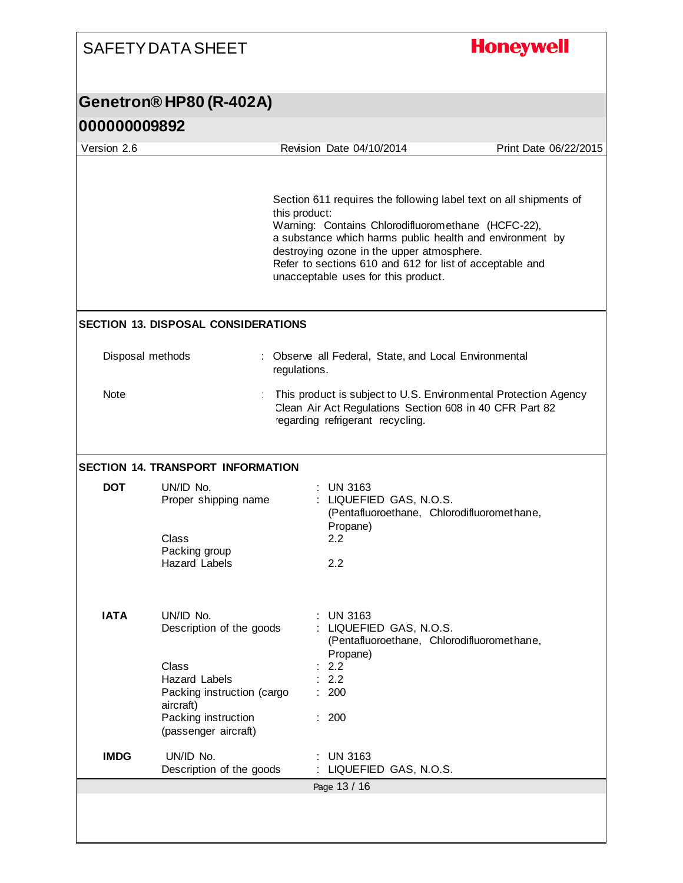| Genetron® HP80 (R-402A)<br>000000009892<br>Version 2.6<br>Revision Date 04/10/2014<br>this product:<br>Warning: Contains Chlorodifluoromethane (HCFC-22),<br>destroying ozone in the upper atmosphere.<br>Refer to sections 610 and 612 for list of acceptable and<br>unacceptable uses for this product.<br><b>SECTION 13. DISPOSAL CONSIDERATIONS</b><br>Disposal methods<br>: Observe all Federal, State, and Local Environmental<br>regulations.<br>Note<br>regarding refrigerant recycling.<br><b>SECTION 14. TRANSPORT INFORMATION</b><br><b>DOT</b><br>UN/ID No.<br>$:$ UN 3163<br>: LIQUEFIED GAS, N.O.S.<br>Proper shipping name<br>(Pentafluoroethane, Chlorodifluoromethane,<br>Propane)<br>Class<br>2.2<br>Packing group<br>2.2<br><b>Hazard Labels</b><br><b>IATA</b><br>UN/ID No.<br><b>UN 3163</b><br>LIQUEFIED GAS, N.O.S.<br>Description of the goods<br>(Pentafluoroethane, Chlorodifluoromethane,<br>Propane)<br>Class<br>2.2<br>2.2<br><b>Hazard Labels</b><br>200<br>Packing instruction (cargo<br>aircraft)<br>Packing instruction<br>: 200<br>(passenger aircraft)<br><b>IMDG</b><br>UN/ID No.<br><b>UN 3163</b> | <b>SAFETY DATA SHEET</b> | <b>Honeywell</b>                                                                                                              |
|-----------------------------------------------------------------------------------------------------------------------------------------------------------------------------------------------------------------------------------------------------------------------------------------------------------------------------------------------------------------------------------------------------------------------------------------------------------------------------------------------------------------------------------------------------------------------------------------------------------------------------------------------------------------------------------------------------------------------------------------------------------------------------------------------------------------------------------------------------------------------------------------------------------------------------------------------------------------------------------------------------------------------------------------------------------------------------------------------------------------------------------------|--------------------------|-------------------------------------------------------------------------------------------------------------------------------|
|                                                                                                                                                                                                                                                                                                                                                                                                                                                                                                                                                                                                                                                                                                                                                                                                                                                                                                                                                                                                                                                                                                                                         |                          |                                                                                                                               |
|                                                                                                                                                                                                                                                                                                                                                                                                                                                                                                                                                                                                                                                                                                                                                                                                                                                                                                                                                                                                                                                                                                                                         |                          |                                                                                                                               |
|                                                                                                                                                                                                                                                                                                                                                                                                                                                                                                                                                                                                                                                                                                                                                                                                                                                                                                                                                                                                                                                                                                                                         |                          | Print Date 06/22/2015                                                                                                         |
|                                                                                                                                                                                                                                                                                                                                                                                                                                                                                                                                                                                                                                                                                                                                                                                                                                                                                                                                                                                                                                                                                                                                         |                          | Section 611 requires the following label text on all shipments of<br>a substance which harms public health and environment by |
|                                                                                                                                                                                                                                                                                                                                                                                                                                                                                                                                                                                                                                                                                                                                                                                                                                                                                                                                                                                                                                                                                                                                         |                          |                                                                                                                               |
|                                                                                                                                                                                                                                                                                                                                                                                                                                                                                                                                                                                                                                                                                                                                                                                                                                                                                                                                                                                                                                                                                                                                         |                          | This product is subject to U.S. Environmental Protection Agency<br>Clean Air Act Regulations Section 608 in 40 CFR Part 82    |
|                                                                                                                                                                                                                                                                                                                                                                                                                                                                                                                                                                                                                                                                                                                                                                                                                                                                                                                                                                                                                                                                                                                                         |                          |                                                                                                                               |
|                                                                                                                                                                                                                                                                                                                                                                                                                                                                                                                                                                                                                                                                                                                                                                                                                                                                                                                                                                                                                                                                                                                                         |                          |                                                                                                                               |
|                                                                                                                                                                                                                                                                                                                                                                                                                                                                                                                                                                                                                                                                                                                                                                                                                                                                                                                                                                                                                                                                                                                                         |                          |                                                                                                                               |
|                                                                                                                                                                                                                                                                                                                                                                                                                                                                                                                                                                                                                                                                                                                                                                                                                                                                                                                                                                                                                                                                                                                                         |                          |                                                                                                                               |
| Description of the goods<br>LIQUEFIED GAS, N.O.S.                                                                                                                                                                                                                                                                                                                                                                                                                                                                                                                                                                                                                                                                                                                                                                                                                                                                                                                                                                                                                                                                                       |                          |                                                                                                                               |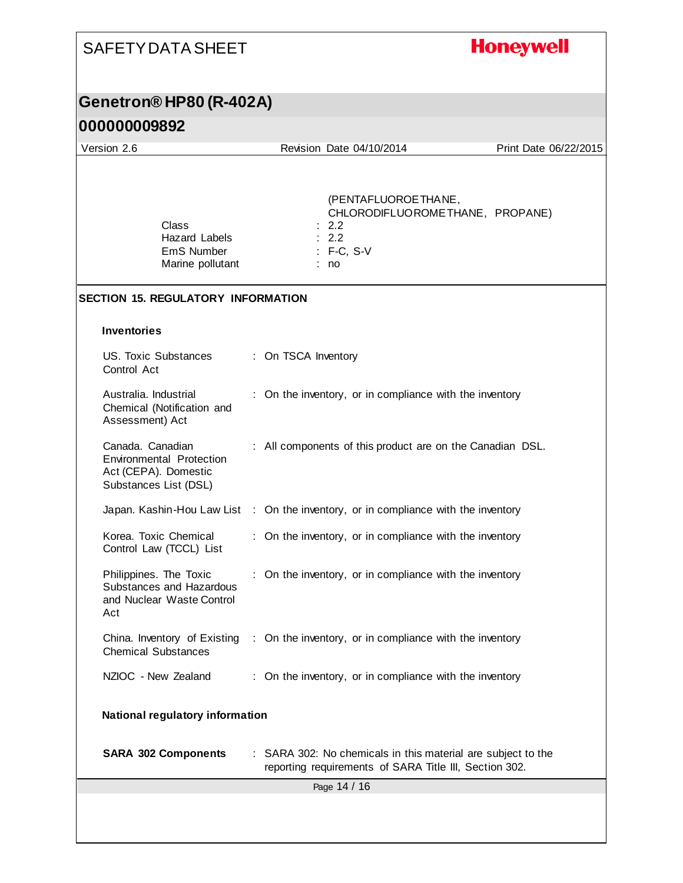#### **Honeywell** SAFETY DATA SHEET **Genetron® HP80 (R-402A) 000000009892** Version 2.6 Revision Date 04/10/2014 Print Date 06/22/2015 (PENTAFLUOROETHANE, CHLORODIFLUOROMETHANE, PROPANE) Class : 2.2 Hazard Labels : 2.2 EmS Number : F-C, S-V Marine pollutant : no **SECTION 15. REGULATORY INFORMATION Inventories** US. Toxic Substances : On TSCA Inventory Control Act Australia. Industrial : On the inventory, or in compliance with the inventory Chemical (Notification and Assessment) Act Canada. Canadian : All components of this product are on the Canadian DSL. Environmental Protection Act (CEPA). Domestic Substances List (DSL) Japan. Kashin-Hou Law List : On the inventory, or in compliance with the inventory Korea. Toxic Chemical : On the inventory, or in compliance with the inventory Control Law (TCCL) List Philippines. The Toxic : On the inventory, or in compliance with the inventory Substances and Hazardous and Nuclear Waste Control Act China. Inventory of Existing : On the inventory, or in compliance with the inventory Chemical Substances NZIOC - New Zealand : On the inventory, or in compliance with the inventory **National regulatory information SARA 302 Components** : SARA 302: No chemicals in this material are subject to the reporting requirements of SARA Title III, Section 302.Page 14 / 16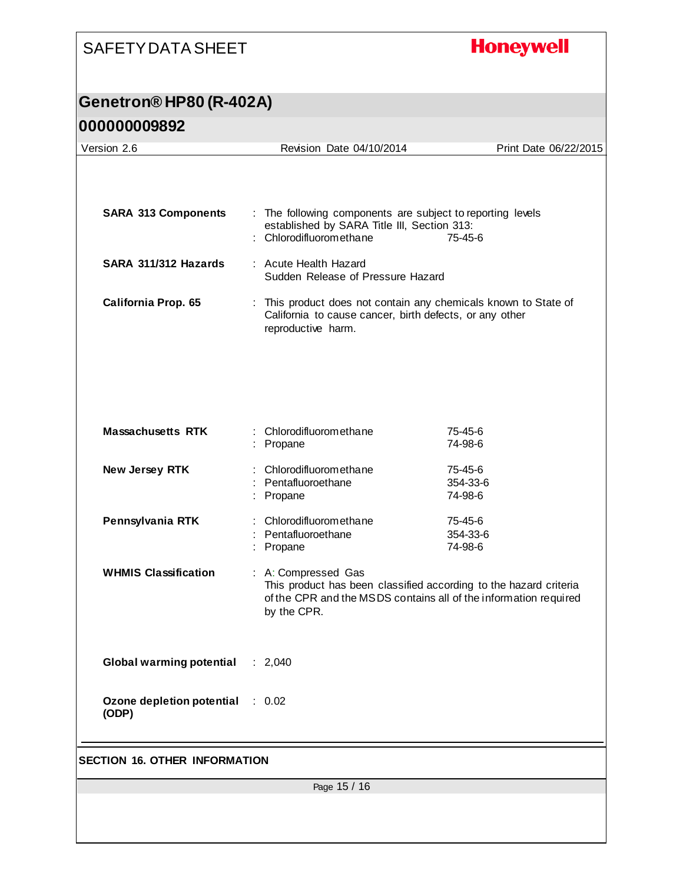## **Honeywell**

| UUUUUUUJUJL                               |                                                                                                                                                                             |                                |  |
|-------------------------------------------|-----------------------------------------------------------------------------------------------------------------------------------------------------------------------------|--------------------------------|--|
| Version 2.6                               | Revision Date 04/10/2014                                                                                                                                                    | Print Date 06/22/2015          |  |
| <b>SARA 313 Components</b>                | : The following components are subject to reporting levels<br>established by SARA Title III, Section 313:<br>: Chlorodifluoromethane                                        | $75 - 45 - 6$                  |  |
| SARA 311/312 Hazards                      | : Acute Health Hazard<br>Sudden Release of Pressure Hazard                                                                                                                  |                                |  |
| California Prop. 65                       | This product does not contain any chemicals known to State of<br>California to cause cancer, birth defects, or any other<br>reproductive harm.                              |                                |  |
| <b>Massachusetts RTK</b>                  | : Chlorodifluoromethane<br>: Propane                                                                                                                                        | $75 - 45 - 6$<br>74-98-6       |  |
| New Jersey RTK                            | Chlorodifluoromethane<br>: Pentafluoroethane<br>Propane                                                                                                                     | 75-45-6<br>354-33-6<br>74-98-6 |  |
| Pennsylvania RTK                          | : Chlorodifluoromethane<br>: Pentafluoroethane<br>: Propane                                                                                                                 | 75-45-6<br>354-33-6<br>74-98-6 |  |
| <b>WHMIS Classification</b>               | : A: Compressed Gas<br>This product has been classified according to the hazard criteria<br>of the CPR and the MSDS contains all of the information required<br>by the CPR. |                                |  |
| Global warming potential : 2,040          |                                                                                                                                                                             |                                |  |
| Ozone depletion potential : 0.02<br>(ODP) |                                                                                                                                                                             |                                |  |
| <b>SECTION 16. OTHER INFORMATION</b>      |                                                                                                                                                                             |                                |  |
| Page 15 / 16                              |                                                                                                                                                                             |                                |  |
|                                           |                                                                                                                                                                             |                                |  |